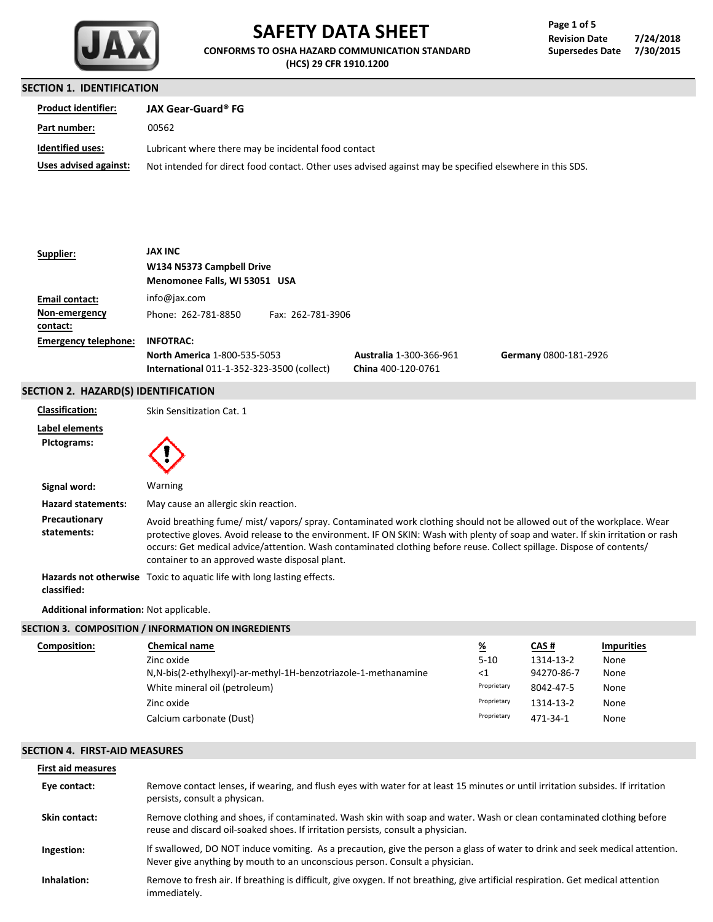

# **SAFETY DATA SHEET**

**CONFORMS TO OSHA HAZARD COMMUNICATION STANDARD (HCS) 29 CFR 1910.1200**

| Page 1 of 5            |           |
|------------------------|-----------|
| <b>Revision Date</b>   | 7/24/2018 |
| <b>Supersedes Date</b> | 7/30/2015 |

# **SECTION 1. IDENTIFICATION**

| <b>Product identifier:</b> | <b>JAX Gear-Guard® FG</b>                                                                                |
|----------------------------|----------------------------------------------------------------------------------------------------------|
| Part number:               | 00562                                                                                                    |
| <b>Identified uses:</b>    | Lubricant where there may be incidental food contact                                                     |
| Uses advised against:      | Not intended for direct food contact. Other uses advised against may be specified elsewhere in this SDS. |

| Supplier:                   | <b>JAX INC</b>                                    |                                |                       |
|-----------------------------|---------------------------------------------------|--------------------------------|-----------------------|
|                             | W134 N5373 Campbell Drive                         |                                |                       |
|                             | Menomonee Falls, WI 53051 USA                     |                                |                       |
| Email contact:              | info@jax.com                                      |                                |                       |
| Non-emergency               | Phone: 262-781-8850<br>Fax: 262-781-3906          |                                |                       |
| contact:                    |                                                   |                                |                       |
| <b>Emergency telephone:</b> | <b>INFOTRAC:</b>                                  |                                |                       |
|                             | North America 1-800-535-5053                      | <b>Australia 1-300-366-961</b> | Germany 0800-181-2926 |
|                             | <b>International 011-1-352-323-3500 (collect)</b> | China 400-120-0761             |                       |
|                             |                                                   |                                |                       |

## **SECTION 2. HAZARD(S) IDENTIFICATION**

| <b>Classification:</b>        | Skin Sensitization Cat. 1                                                                                                                                                                                                                                                                                                                                                                                                         |
|-------------------------------|-----------------------------------------------------------------------------------------------------------------------------------------------------------------------------------------------------------------------------------------------------------------------------------------------------------------------------------------------------------------------------------------------------------------------------------|
| Label elements<br>Pictograms: |                                                                                                                                                                                                                                                                                                                                                                                                                                   |
| Signal word:                  | Warning                                                                                                                                                                                                                                                                                                                                                                                                                           |
| <b>Hazard statements:</b>     | May cause an allergic skin reaction.                                                                                                                                                                                                                                                                                                                                                                                              |
| Precautionary<br>statements:  | Avoid breathing fume/mist/vapors/spray. Contaminated work clothing should not be allowed out of the workplace. Wear<br>protective gloves. Avoid release to the environment. IF ON SKIN: Wash with plenty of soap and water. If skin irritation or rash<br>occurs: Get medical advice/attention. Wash contaminated clothing before reuse. Collect spillage. Dispose of contents/<br>container to an approved waste disposal plant. |
| classified:                   | <b>Hazards not otherwise</b> Toxic to aquatic life with long lasting effects.                                                                                                                                                                                                                                                                                                                                                     |

**Additional information:** Not applicable.

|              | SECTION 3. COMPOSITION / INFORMATION ON INGREDIENTS            |             |            |                   |  |
|--------------|----------------------------------------------------------------|-------------|------------|-------------------|--|
| Composition: | <b>Chemical name</b>                                           | <u>%</u>    | CAS#       | <b>Impurities</b> |  |
|              | Zinc oxide                                                     | $5 - 10$    | 1314-13-2  | None              |  |
|              | N,N-bis(2-ethylhexyl)-ar-methyl-1H-benzotriazole-1-methanamine | <1          | 94270-86-7 | None              |  |
|              | White mineral oil (petroleum)                                  | Proprietary | 8042-47-5  | None              |  |
|              | Zinc oxide                                                     | Proprietary | 1314-13-2  | None              |  |
|              | Calcium carbonate (Dust)                                       | Proprietary | 471-34-1   | None              |  |
|              |                                                                |             |            |                   |  |

## **SECTION 4. FIRST-AID MEASURES**

| <b>First aid measures</b> |                                                                                                                                                                                                             |
|---------------------------|-------------------------------------------------------------------------------------------------------------------------------------------------------------------------------------------------------------|
| Eye contact:              | Remove contact lenses, if wearing, and flush eves with water for at least 15 minutes or until irritation subsides. If irritation<br>persists, consult a physican.                                           |
| Skin contact:             | Remove clothing and shoes, if contaminated. Wash skin with soap and water. Wash or clean contaminated clothing before<br>reuse and discard oil-soaked shoes. If irritation persists, consult a physician.   |
| Ingestion:                | If swallowed, DO NOT induce vomiting. As a precaution, give the person a glass of water to drink and seek medical attention.<br>Never give anything by mouth to an unconscious person. Consult a physician. |
| Inhalation:               | Remove to fresh air. If breathing is difficult, give oxygen. If not breathing, give artificial respiration. Get medical attention<br>immediately.                                                           |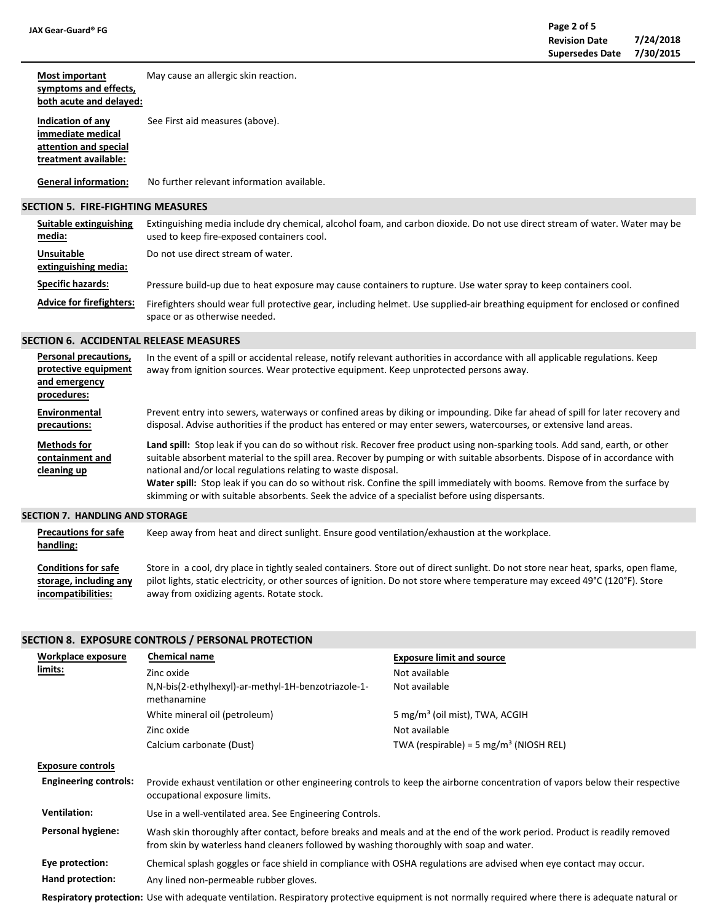**attention and special treatment available:**

#### **Most important symptoms and effects, both acute and delayed: Indication of any immediate medical** See First aid measures (above). May cause an allergic skin reaction.

No further relevant information available. **General information:**

#### **SECTION 5. FIRE-FIGHTING MEASURES**

| Suitable extinguishing<br>media:          | Extinguishing media include dry chemical, alcohol foam, and carbon dioxide. Do not use direct stream of water. Water may be<br>used to keep fire-exposed containers cool. |
|-------------------------------------------|---------------------------------------------------------------------------------------------------------------------------------------------------------------------------|
| <b>Unsuitable</b><br>extinguishing media: | Do not use direct stream of water.                                                                                                                                        |
| <b>Specific hazards:</b>                  | Pressure build-up due to heat exposure may cause containers to rupture. Use water spray to keep containers cool.                                                          |
| <b>Advice for firefighters:</b>           | Firefighters should wear full protective gear, including helmet. Use supplied-air breathing equipment for enclosed or confined<br>space or as otherwise needed.           |

### **SECTION 6. ACCIDENTAL RELEASE MEASURES**

| Personal precautions, | In the event of a spill or accidental release, notify relevant authorities in accordance with all applicable regulations. Keep |
|-----------------------|--------------------------------------------------------------------------------------------------------------------------------|
| protective equipment  | away from ignition sources. Wear protective equipment. Keep unprotected persons away.                                          |
| and emergency         |                                                                                                                                |
| procedures:           |                                                                                                                                |
| Environmental         | Prevent entry into sewers, waterways or confined areas by diking or impounding. Dike far ahead of spill for later recovery and |
| precautions:          | disposal. Advise authorities if the product has entered or may enter sewers, watercourses, or extensive land areas.            |
| <b>Methods for</b>    | Land spill: Stop leak if you can do so without risk. Recover free product using non-sparking tools. Add sand, earth, or other  |
| containment and       | suitable absorbent material to the spill area. Recover by pumping or with suitable absorbents. Dispose of in accordance with   |
| cleaning up           | national and/or local regulations relating to waste disposal.                                                                  |
|                       | Water spill: Stop leak if you can do so without risk. Confine the spill immediately with booms. Remove from the surface by     |
|                       | skimming or with suitable absorbents. Seek the advice of a specialist before using dispersants.                                |

#### **SECTION 7. HANDLING AND STORAGE**

**Precautions for safe handling:** Keep away from heat and direct sunlight. Ensure good ventilation/exhaustion at the workplace.

**Conditions for safe storage, including any incompatibilities:** Store in a cool, dry place in tightly sealed containers. Store out of direct sunlight. Do not store near heat, sparks, open flame, pilot lights, static electricity, or other sources of ignition. Do not store where temperature may exceed 49°C (120°F). Store away from oxidizing agents. Rotate stock.

## **SECTION 8. EXPOSURE CONTROLS / PERSONAL PROTECTION**

| Workplace exposure           | <b>Chemical name</b>                                                                                                                                                                                                  | <b>Exposure limit and source</b>                                                                                                                    |
|------------------------------|-----------------------------------------------------------------------------------------------------------------------------------------------------------------------------------------------------------------------|-----------------------------------------------------------------------------------------------------------------------------------------------------|
| limits:                      | Zinc oxide                                                                                                                                                                                                            | Not available                                                                                                                                       |
|                              | N,N-bis(2-ethylhexyl)-ar-methyl-1H-benzotriazole-1-<br>methanamine                                                                                                                                                    | Not available                                                                                                                                       |
|                              | White mineral oil (petroleum)                                                                                                                                                                                         | 5 mg/m <sup>3</sup> (oil mist), TWA, ACGIH                                                                                                          |
|                              | Zinc oxide                                                                                                                                                                                                            | Not available                                                                                                                                       |
|                              | Calcium carbonate (Dust)                                                                                                                                                                                              | TWA (respirable) = 5 mg/m <sup>3</sup> (NIOSH REL)                                                                                                  |
| <b>Exposure controls</b>     |                                                                                                                                                                                                                       |                                                                                                                                                     |
| <b>Engineering controls:</b> | occupational exposure limits.                                                                                                                                                                                         | Provide exhaust ventilation or other engineering controls to keep the airborne concentration of vapors below their respective                       |
| <b>Ventilation:</b>          | Use in a well-ventilated area. See Engineering Controls.                                                                                                                                                              |                                                                                                                                                     |
| Personal hygiene:            | Wash skin thoroughly after contact, before breaks and meals and at the end of the work period. Product is readily removed<br>from skin by waterless hand cleaners followed by washing thoroughly with soap and water. |                                                                                                                                                     |
| Eye protection:              | Chemical splash goggles or face shield in compliance with OSHA regulations are advised when eye contact may occur.                                                                                                    |                                                                                                                                                     |
| Hand protection:             | Any lined non-permeable rubber gloves.                                                                                                                                                                                |                                                                                                                                                     |
|                              |                                                                                                                                                                                                                       | Respiratory protection: Use with adequate ventilation. Respiratory protective equipment is not normally required where there is adequate natural or |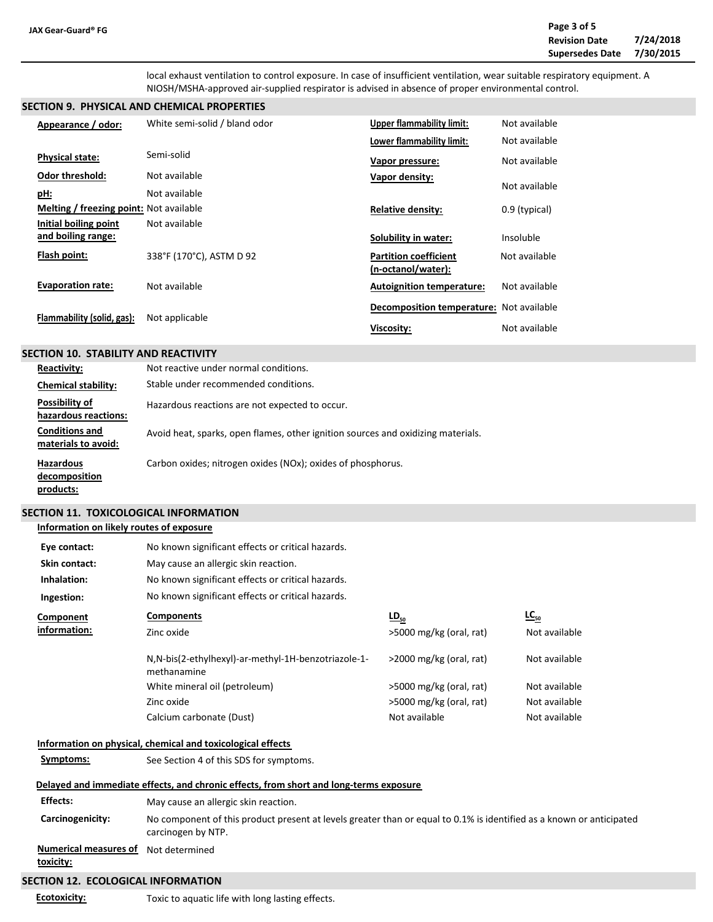local exhaust ventilation to control exposure. In case of insufficient ventilation, wear suitable respiratory equipment. A NIOSH/MSHA-approved air-supplied respirator is advised in absence of proper environmental control.

#### **SECTION 9. PHYSICAL AND CHEMICAL PROPERTIES**

| Appearance / odor:                      | White semi-solid / bland odor | <b>Upper flammability limit:</b>         | Not available |
|-----------------------------------------|-------------------------------|------------------------------------------|---------------|
|                                         |                               | Lower flammability limit:                | Not available |
| <b>Physical state:</b>                  | Semi-solid                    | Vapor pressure:                          | Not available |
| <b>Odor threshold:</b>                  | Not available                 | Vapor density:                           |               |
| <u>pH:</u>                              | Not available                 |                                          | Not available |
| Melting / freezing point: Not available |                               | <b>Relative density:</b>                 | 0.9 (typical) |
| Initial boiling point                   | Not available                 |                                          |               |
| and boiling range:                      |                               | Solubility in water:                     | Insoluble     |
| Flash point:                            | 338°F (170°C), ASTM D 92      | <b>Partition coefficient</b>             | Not available |
|                                         |                               | (n-octanol/water):                       |               |
| <b>Evaporation rate:</b>                | Not available                 | <b>Autoignition temperature:</b>         | Not available |
| Flammability (solid, gas):              | Not applicable                | Decomposition temperature: Not available |               |
|                                         |                               | Viscosity:                               | Not available |

#### **SECTION 10. STABILITY AND REACTIVITY**

| <b>Reactivity:</b>                             | Not reactive under normal conditions.                                            |
|------------------------------------------------|----------------------------------------------------------------------------------|
| <b>Chemical stability:</b>                     | Stable under recommended conditions.                                             |
| Possibility of<br>hazardous reactions:         | Hazardous reactions are not expected to occur.                                   |
| <b>Conditions and</b><br>materials to avoid:   | Avoid heat, sparks, open flames, other ignition sources and oxidizing materials. |
| <b>Hazardous</b><br>decomposition<br>products: | Carbon oxides; nitrogen oxides (NOx); oxides of phosphorus.                      |

## **SECTION 11. TOXICOLOGICAL INFORMATION**

#### **Information on likely routes of exposure**

| Eye contact:  | No known significant effects or critical hazards.                   |                            |               |
|---------------|---------------------------------------------------------------------|----------------------------|---------------|
| Skin contact: | May cause an allergic skin reaction.                                |                            |               |
| Inhalation:   | No known significant effects or critical hazards.                   |                            |               |
| Ingestion:    | No known significant effects or critical hazards.                   |                            |               |
| Component     | <b>Components</b>                                                   | $LD_{50}$                  | $LC_{50}$     |
| information:  | Zinc oxide                                                          | >5000 mg/kg (oral, rat)    | Not available |
|               | N, N-bis(2-ethylhexyl)-ar-methyl-1H-benzotriazole-1-<br>methanamine | $>$ 2000 mg/kg (oral, rat) | Not available |
|               | White mineral oil (petroleum)                                       | >5000 mg/kg (oral, rat)    | Not available |
|               | Zinc oxide                                                          | >5000 mg/kg (oral, rat)    | Not available |
|               | Calcium carbonate (Dust)                                            | Not available              | Not available |
|               | Information on physical, chemical and toxicological effects         |                            |               |
| Symptoms:     | See Section 4 of this SDS for symptoms.                             |                            |               |

# **SECTION 12. ECOLOGICAL INFORMATION** Toxic to aquatic life with long lasting effects. **Delayed and immediate effects, and chronic effects, from short and long-terms exposure Carcinogenicity:** No component of this product present at levels greater than or equal to 0.1% is identified as a known or anticipated carcinogen by NTP. **Numerical measures of** Not determined**toxicity: Ecotoxicity: Effects:** May cause an allergic skin reaction.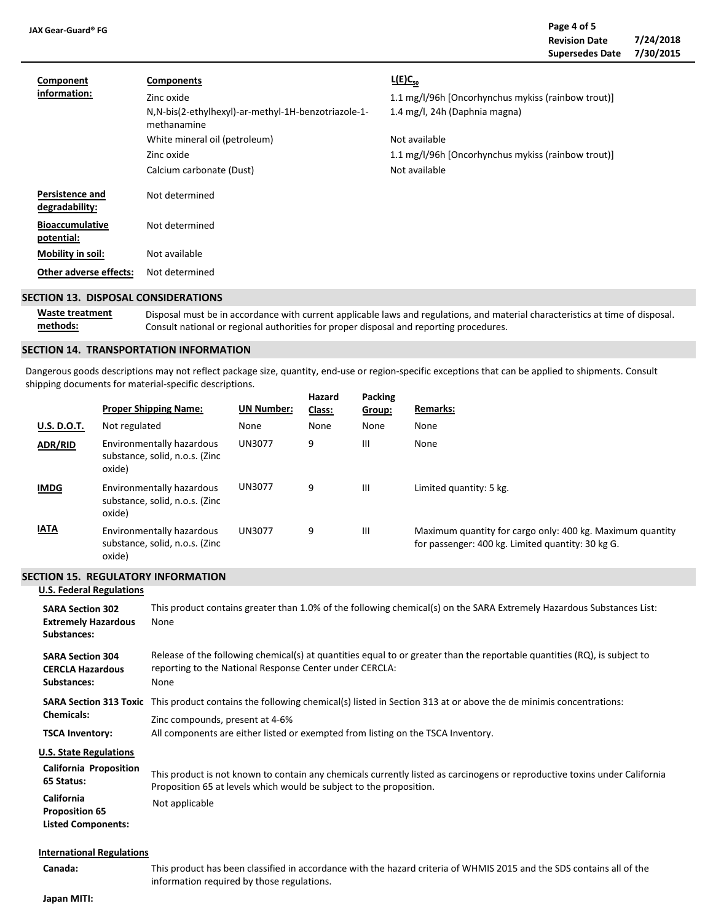| JAX Gear-Guard® FG                   |                                                                                                                                                                                   |                                                                                                                                                                                             | Page 4 of 5<br><b>Revision Date</b><br><b>Supersedes Date</b> | 7/24/2018<br>7/30/2015 |
|--------------------------------------|-----------------------------------------------------------------------------------------------------------------------------------------------------------------------------------|---------------------------------------------------------------------------------------------------------------------------------------------------------------------------------------------|---------------------------------------------------------------|------------------------|
| Component<br>information:            | <b>Components</b><br>Zinc oxide<br>N, N-bis(2-ethylhexyl)-ar-methyl-1H-benzotriazole-1-<br>methanamine<br>White mineral oil (petroleum)<br>Zinc oxide<br>Calcium carbonate (Dust) | $L(E)C_{50}$<br>1.1 mg/l/96h [Oncorhynchus mykiss (rainbow trout)]<br>1.4 mg/l, 24h (Daphnia magna)<br>Not available<br>1.1 mg/l/96h [Oncorhynchus mykiss (rainbow trout)]<br>Not available |                                                               |                        |
| Persistence and<br>degradability:    | Not determined                                                                                                                                                                    |                                                                                                                                                                                             |                                                               |                        |
| <b>Bioaccumulative</b><br>potential: | Not determined                                                                                                                                                                    |                                                                                                                                                                                             |                                                               |                        |
| Mobility in soil:                    | Not available                                                                                                                                                                     |                                                                                                                                                                                             |                                                               |                        |
| <b>Other adverse effects:</b>        | Not determined                                                                                                                                                                    |                                                                                                                                                                                             |                                                               |                        |

#### **SECTION 13. DISPOSAL CONSIDERATIONS**

**Waste treatment methods:** Disposal must be in accordance with current applicable laws and regulations, and material characteristics at time of disposal. Consult national or regional authorities for proper disposal and reporting procedures.

#### **SECTION 14. TRANSPORTATION INFORMATION**

Dangerous goods descriptions may not reflect package size, quantity, end-use or region-specific exceptions that can be applied to shipments. Consult shipping documents for material-specific descriptions.

|                    | <b>Proper Shipping Name:</b>                                          | <b>UN Number:</b> | Hazard<br>Class: | Packing<br>Group: | <b>Remarks:</b>                                                                                                |
|--------------------|-----------------------------------------------------------------------|-------------------|------------------|-------------------|----------------------------------------------------------------------------------------------------------------|
| <b>U.S. D.O.T.</b> | Not regulated                                                         | None              | None             | None              | None                                                                                                           |
| ADR/RID            | Environmentally hazardous<br>substance, solid, n.o.s. (Zinc<br>oxide) | UN3077            | 9                | Ш                 | None                                                                                                           |
| <b>IMDG</b>        | Environmentally hazardous<br>substance, solid, n.o.s. (Zinc<br>oxide) | UN3077            | 9                | Ш                 | Limited quantity: 5 kg.                                                                                        |
| <b>IATA</b>        | Environmentally hazardous<br>substance, solid, n.o.s. (Zinc<br>oxide) | <b>UN3077</b>     | 9                | Ш                 | Maximum quantity for cargo only: 400 kg. Maximum quantity<br>for passenger: 400 kg. Limited quantity: 30 kg G. |

# **SECTION 15. REGULATORY INFORMATION**

# **U.S. Federal Regulations**

| <b>SARA Section 302</b><br><b>Extremely Hazardous</b><br>Substances:    | This product contains greater than 1.0% of the following chemical(s) on the SARA Extremely Hazardous Substances List:<br>None                                                                     |  |  |  |  |
|-------------------------------------------------------------------------|---------------------------------------------------------------------------------------------------------------------------------------------------------------------------------------------------|--|--|--|--|
| <b>SARA Section 304</b><br><b>CERCLA Hazardous</b><br>Substances:       | Release of the following chemical(s) at quantities equal to or greater than the reportable quantities (RQ), is subject to<br>reporting to the National Response Center under CERCLA:<br>None      |  |  |  |  |
| <b>Chemicals:</b>                                                       | <b>SARA Section 313 Toxic</b> This product contains the following chemical(s) listed in Section 313 at or above the de minimis concentrations:<br>Zinc compounds, present at 4-6%                 |  |  |  |  |
| <b>TSCA Inventory:</b>                                                  | All components are either listed or exempted from listing on the TSCA Inventory.                                                                                                                  |  |  |  |  |
| <b>U.S. State Regulations</b>                                           |                                                                                                                                                                                                   |  |  |  |  |
| <b>California Proposition</b><br>65 Status:                             | This product is not known to contain any chemicals currently listed as carcinogens or reproductive toxins under California<br>Proposition 65 at levels which would be subject to the proposition. |  |  |  |  |
| <b>California</b><br><b>Proposition 65</b><br><b>Listed Components:</b> | Not applicable                                                                                                                                                                                    |  |  |  |  |

#### **International Regulations**

**Canada:**

This product has been classified in accordance with the hazard criteria of WHMIS 2015 and the SDS contains all of the information required by those regulations.